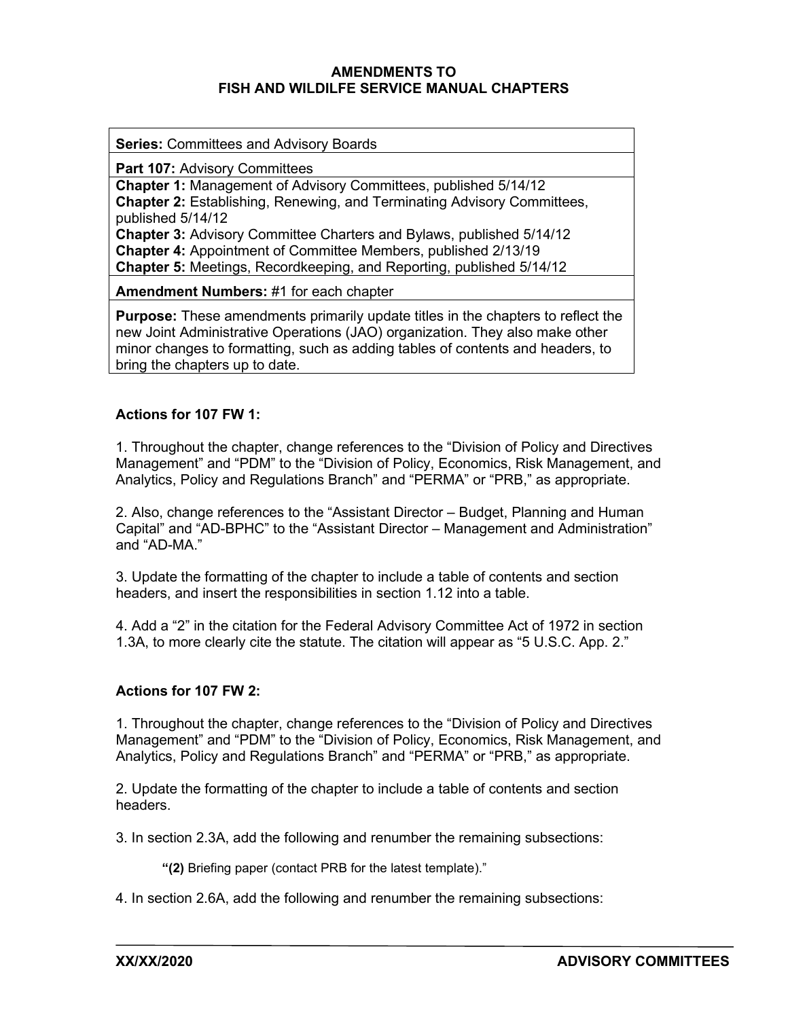## **AMENDMENTS TO FISH AND WILDILFE SERVICE MANUAL CHAPTERS**

**Series:** Committees and Advisory Boards

**Part 107: Advisory Committees** 

**Chapter 1:** Management of Advisory Committees, published 5/14/12 **Chapter 2:** Establishing, Renewing, and Terminating Advisory Committees, published 5/14/12 **Chapter 3:** Advisory Committee Charters and Bylaws, published 5/14/12 **Chapter 4:** Appointment of Committee Members, published 2/13/19 **Chapter 5:** Meetings, Recordkeeping, and Reporting, published 5/14/12

**Amendment Numbers:** #1 for each chapter

**Purpose:** These amendments primarily update titles in the chapters to reflect the new Joint Administrative Operations (JAO) organization. They also make other minor changes to formatting, such as adding tables of contents and headers, to bring the chapters up to date.

# **Actions for 107 FW 1:**

1. Throughout the chapter, change references to the "Division of Policy and Directives Management" and "PDM" to the "Division of Policy, Economics, Risk Management, and Analytics, Policy and Regulations Branch" and "PERMA" or "PRB," as appropriate.

2. Also, change references to the "Assistant Director – Budget, Planning and Human Capital" and "AD-BPHC" to the "Assistant Director – Management and Administration" and "AD-MA."

3. Update the formatting of the chapter to include a table of contents and section headers, and insert the responsibilities in section 1.12 into a table.

4. Add a "2" in the citation for the Federal Advisory Committee Act of 1972 in section 1.3A, to more clearly cite the statute. The citation will appear as "5 U.S.C. App. 2."

### **Actions for 107 FW 2:**

1. Throughout the chapter, change references to the "Division of Policy and Directives Management" and "PDM" to the "Division of Policy, Economics, Risk Management, and Analytics, Policy and Regulations Branch" and "PERMA" or "PRB," as appropriate.

2. Update the formatting of the chapter to include a table of contents and section headers.

3. In section 2.3A, add the following and renumber the remaining subsections:

**"(2)** Briefing paper (contact PRB for the latest template)."

4. In section 2.6A, add the following and renumber the remaining subsections: